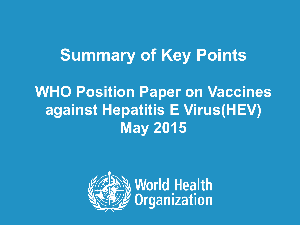# **Summary of Key Points**

### **WHO Position Paper on Vaccines against Hepatitis E Virus(HEV) May 2015**

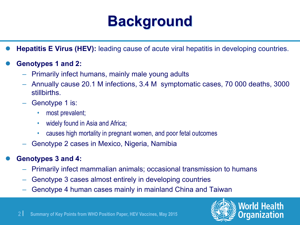### **Background**

- **Hepatitis E Virus (HEV):** leading cause of acute viral hepatitis in developing countries.
- l **Genotypes 1 and 2:** 
	- Primarily infect humans, mainly male young adults
	- Annually cause 20.1 M infections, 3.4 M symptomatic cases, 70 000 deaths, 3000 stillbirths.
	- Genotype 1 is:
		- most prevalent;
		- widely found in Asia and Africa;
		- causes high mortality in pregnant women, and poor fetal outcomes
	- Genotype 2 cases in Mexico, Nigeria, Namibia
- l **Genotypes 3 and 4:** 
	- Primarily infect mammalian animals; occasional transmission to humans
	- Genotype 3 cases almost entirely in developing countries
	- Genotype 4 human cases mainly in mainland China and Taiwan



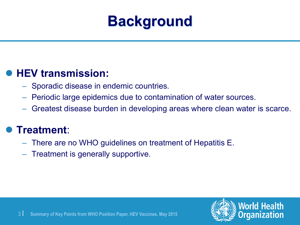![](_page_2_Picture_0.jpeg)

#### l **HEV transmission:**

- Sporadic disease in endemic countries.
- Periodic large epidemics due to contamination of water sources.
- Greatest disease burden in developing areas where clean water is scarce.

#### l **Treatment**:

- There are no WHO guidelines on treatment of Hepatitis E.
- Treatment is generally supportive.

![](_page_2_Picture_9.jpeg)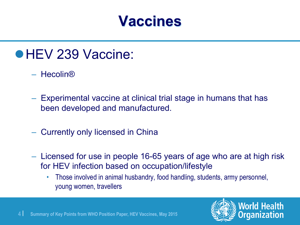### **Vaccines**

- **e HEV 239 Vaccine:** 
	- Hecolin®
	- Experimental vaccine at clinical trial stage in humans that has been developed and manufactured.
	- Currently only licensed in China
	- Licensed for use in people 16-65 years of age who are at high risk for HEV infection based on occupation/lifestyle
		- Those involved in animal husbandry, food handling, students, army personnel, young women, travellers

![](_page_3_Picture_7.jpeg)

![](_page_3_Picture_8.jpeg)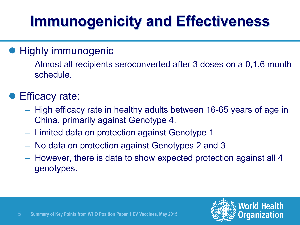# **Immunogenicity and Effectiveness**

#### **• Highly immunogenic**

– Almost all recipients seroconverted after 3 doses on a 0,1,6 month schedule.

#### **• Efficacy rate:**

- High efficacy rate in healthy adults between 16-65 years of age in China, primarily against Genotype 4.
- Limited data on protection against Genotype 1
- No data on protection against Genotypes 2 and 3
- However, there is data to show expected protection against all 4 genotypes.

![](_page_4_Picture_8.jpeg)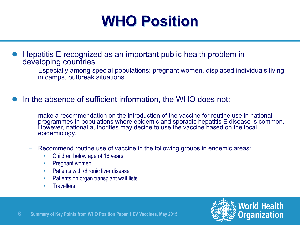### **WHO Position**

- l Hepatitis E recognized as an important public health problem in developing countries
	- Especially among special populations: pregnant women, displaced individuals living in camps, outbreak situations.
- In the absence of sufficient information, the WHO does not:
	- make a recommendation on the introduction of the vaccine for routine use in national programmes in populations where epidemic and sporadic hepatitis E disease is common. However, national authorities may decide to use the vaccine based on the local epidemiology.
	- Recommend routine use of vaccine in the following groups in endemic areas:
		- Children below age of 16 years
		- Pregnant women
		- Patients with chronic liver disease
		- Patients on organ transplant wait lists
		- Travellers

![](_page_5_Picture_11.jpeg)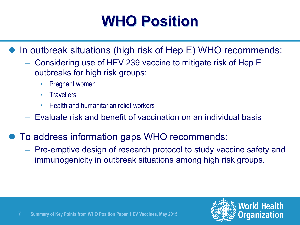# **WHO Position**

In outbreak situations (high risk of Hep E) WHO recommends:

- Considering use of HEV 239 vaccine to mitigate risk of Hep E outbreaks for high risk groups:
	- Pregnant women
	- Travellers
	- Health and humanitarian relief workers
- Evaluate risk and benefit of vaccination on an individual basis
- To address information gaps WHO recommends:
	- Pre-emptive design of research protocol to study vaccine safety and immunogenicity in outbreak situations among high risk groups.

![](_page_6_Picture_10.jpeg)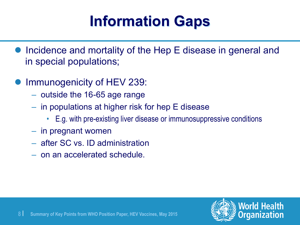# **Information Gaps**

- Incidence and mortality of the Hep E disease in general and in special populations;
- Immunogenicity of HEV 239:
	- outside the 16-65 age range
	- in populations at higher risk for hep E disease
		- E.g. with pre-existing liver disease or immunosuppressive conditions
	- in pregnant women
	- after SC vs. ID administration
	- on an accelerated schedule.

![](_page_7_Picture_10.jpeg)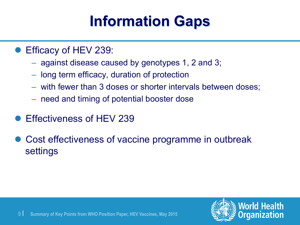# **Information Gaps**

- Efficacy of HEV 239:
	- against disease caused by genotypes 1, 2 and 3;
	- long term efficacy, duration of protection
	- with fewer than 3 doses or shorter intervals between doses;
	- need and timing of potential booster dose
- **Effectiveness of HEV 239**
- Cost effectiveness of vaccine programme in outbreak settings

![](_page_8_Picture_9.jpeg)